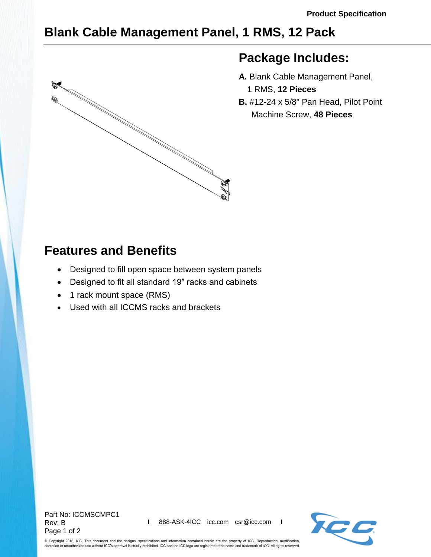## **Blank Cable Management Panel, 1 RMS, 12 Pack**



## **Package Includes:**

- **A.** Blank Cable Management Panel, 1 RMS, **12 Pieces**
- **B.** #12-24 x 5/8" Pan Head, Pilot Point Machine Screw, **48 Pieces**

## **Features and Benefits**

- Designed to fill open space between system panels
- Designed to fit all standard 19" racks and cabinets
- 1 rack mount space (RMS)
- Used with all ICCMS racks and brackets



© Copyright 2018, ICC. This document and the designs, specifications and information contained herein are the property of ICC. Reproduction, modification, alteration or unauthorized use without ICC's approval is strictly prohibited. ICC and the ICC logo are registered trade name and trademark of ICC. All rights reserved.